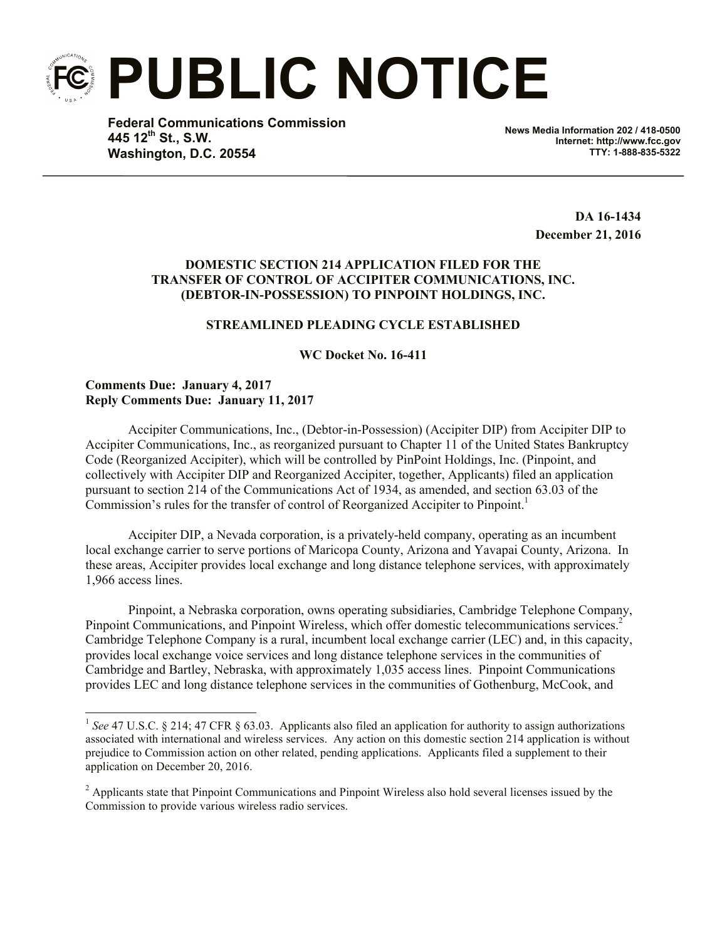**PUBLIC NOTICE**

**Federal Communications Commission 445 12th St., S.W. Washington, D.C. 20554**

**News Media Information 202 / 418-0500 Internet: http://www.fcc.gov TTY: 1-888-835-5322**

> **DA 16-1434 December 21, 2016**

## **DOMESTIC SECTION 214 APPLICATION FILED FOR THE TRANSFER OF CONTROL OF ACCIPITER COMMUNICATIONS, INC. (DEBTOR-IN-POSSESSION) TO PINPOINT HOLDINGS, INC.**

## **STREAMLINED PLEADING CYCLE ESTABLISHED**

**WC Docket No. 16-411**

**Comments Due: January 4, 2017 Reply Comments Due: January 11, 2017**

l

Accipiter Communications, Inc., (Debtor-in-Possession) (Accipiter DIP) from Accipiter DIP to Accipiter Communications, Inc., as reorganized pursuant to Chapter 11 of the United States Bankruptcy Code (Reorganized Accipiter), which will be controlled by PinPoint Holdings, Inc. (Pinpoint, and collectively with Accipiter DIP and Reorganized Accipiter, together, Applicants) filed an application pursuant to section 214 of the Communications Act of 1934, as amended, and section 63.03 of the Commission's rules for the transfer of control of Reorganized Accipiter to Pinpoint.<sup>1</sup>

Accipiter DIP, a Nevada corporation, is a privately-held company, operating as an incumbent local exchange carrier to serve portions of Maricopa County, Arizona and Yavapai County, Arizona. In these areas, Accipiter provides local exchange and long distance telephone services, with approximately 1,966 access lines.

Pinpoint, a Nebraska corporation, owns operating subsidiaries, Cambridge Telephone Company, Pinpoint Communications, and Pinpoint Wireless, which offer domestic telecommunications services.<sup>2</sup> Cambridge Telephone Company is a rural, incumbent local exchange carrier (LEC) and, in this capacity, provides local exchange voice services and long distance telephone services in the communities of Cambridge and Bartley, Nebraska, with approximately 1,035 access lines. Pinpoint Communications provides LEC and long distance telephone services in the communities of Gothenburg, McCook, and

<sup>&</sup>lt;sup>1</sup> See 47 U.S.C. § 214; 47 CFR § 63.03. Applicants also filed an application for authority to assign authorizations associated with international and wireless services. Any action on this domestic section 214 application is without prejudice to Commission action on other related, pending applications. Applicants filed a supplement to their application on December 20, 2016.

<sup>&</sup>lt;sup>2</sup> Applicants state that Pinpoint Communications and Pinpoint Wireless also hold several licenses issued by the Commission to provide various wireless radio services.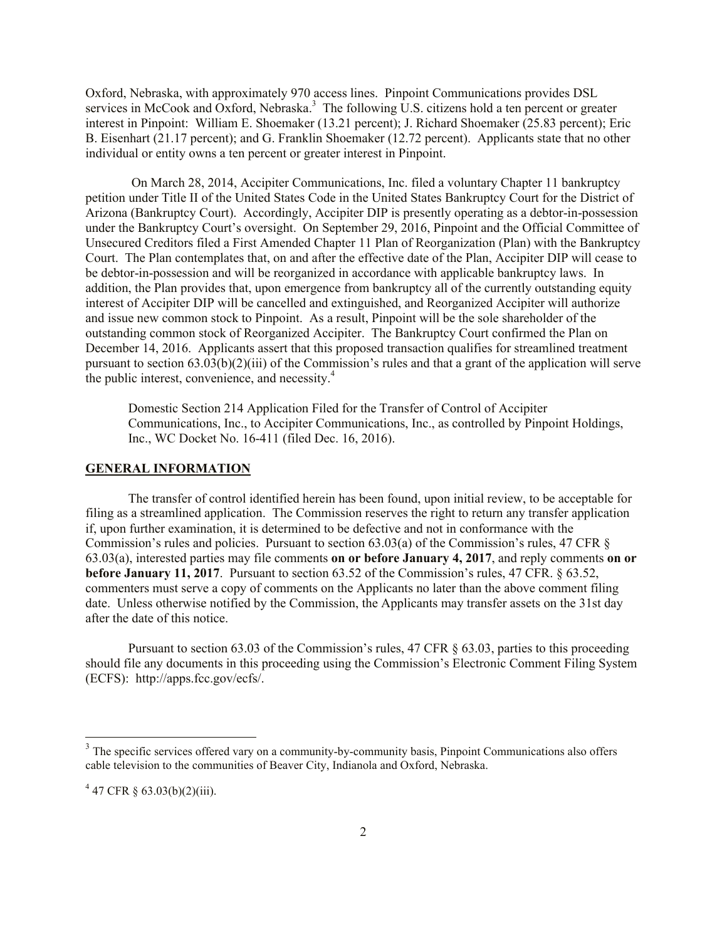Oxford, Nebraska, with approximately 970 access lines. Pinpoint Communications provides DSL services in McCook and Oxford, Nebraska.<sup>3</sup> The following U.S. citizens hold a ten percent or greater interest in Pinpoint: William E. Shoemaker (13.21 percent); J. Richard Shoemaker (25.83 percent); Eric B. Eisenhart (21.17 percent); and G. Franklin Shoemaker (12.72 percent). Applicants state that no other individual or entity owns a ten percent or greater interest in Pinpoint.

On March 28, 2014, Accipiter Communications, Inc. filed a voluntary Chapter 11 bankruptcy petition under Title II of the United States Code in the United States Bankruptcy Court for the District of Arizona (Bankruptcy Court). Accordingly, Accipiter DIP is presently operating as a debtor-in-possession under the Bankruptcy Court's oversight. On September 29, 2016, Pinpoint and the Official Committee of Unsecured Creditors filed a First Amended Chapter 11 Plan of Reorganization (Plan) with the Bankruptcy Court. The Plan contemplates that, on and after the effective date of the Plan, Accipiter DIP will cease to be debtor-in-possession and will be reorganized in accordance with applicable bankruptcy laws. In addition, the Plan provides that, upon emergence from bankruptcy all of the currently outstanding equity interest of Accipiter DIP will be cancelled and extinguished, and Reorganized Accipiter will authorize and issue new common stock to Pinpoint. As a result, Pinpoint will be the sole shareholder of the outstanding common stock of Reorganized Accipiter. The Bankruptcy Court confirmed the Plan on December 14, 2016. Applicants assert that this proposed transaction qualifies for streamlined treatment pursuant to section  $(63.03(b)(2))$  (iii) of the Commission's rules and that a grant of the application will serve the public interest, convenience, and necessity.<sup>4</sup>

Domestic Section 214 Application Filed for the Transfer of Control of Accipiter Communications, Inc., to Accipiter Communications, Inc., as controlled by Pinpoint Holdings, Inc., WC Docket No. 16-411 (filed Dec. 16, 2016).

## **GENERAL INFORMATION**

The transfer of control identified herein has been found, upon initial review, to be acceptable for filing as a streamlined application. The Commission reserves the right to return any transfer application if, upon further examination, it is determined to be defective and not in conformance with the Commission's rules and policies. Pursuant to section 63.03(a) of the Commission's rules, 47 CFR § 63.03(a), interested parties may file comments **on or before January 4, 2017**, and reply comments **on or before January 11, 2017**. Pursuant to section 63.52 of the Commission's rules, 47 CFR. § 63.52, commenters must serve a copy of comments on the Applicants no later than the above comment filing date. Unless otherwise notified by the Commission, the Applicants may transfer assets on the 31st day after the date of this notice.

Pursuant to section 63.03 of the Commission's rules, 47 CFR § 63.03, parties to this proceeding should file any documents in this proceeding using the Commission's Electronic Comment Filing System (ECFS): http://apps.fcc.gov/ecfs/.

 $\overline{a}$ 

 $3$  The specific services offered vary on a community-by-community basis, Pinpoint Communications also offers cable television to the communities of Beaver City, Indianola and Oxford, Nebraska.

 $4\,47$  CFR § 63.03(b)(2)(iii).